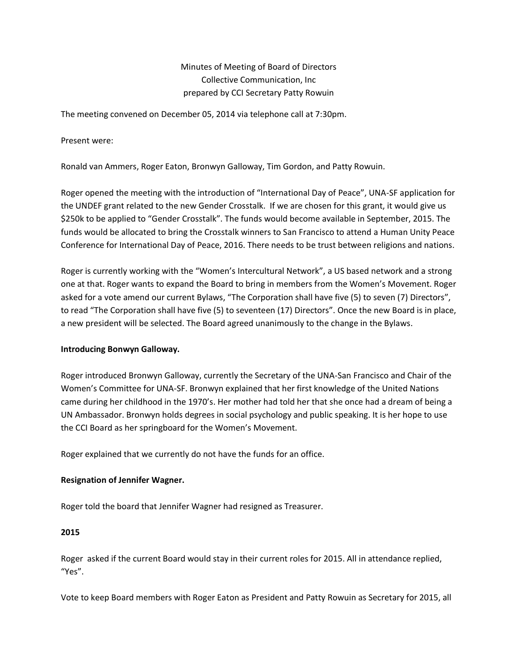# Minutes of Meeting of Board of Directors Collective Communication, Inc prepared by CCI Secretary Patty Rowuin

The meeting convened on December 05, 2014 via telephone call at 7:30pm.

Present were:

Ronald van Ammers, Roger Eaton, Bronwyn Galloway, Tim Gordon, and Patty Rowuin.

Roger opened the meeting with the introduction of "International Day of Peace", UNA-SF application for the UNDEF grant related to the new Gender Crosstalk. If we are chosen for this grant, it would give us \$250k to be applied to "Gender Crosstalk". The funds would become available in September, 2015. The funds would be allocated to bring the Crosstalk winners to San Francisco to attend a Human Unity Peace Conference for International Day of Peace, 2016. There needs to be trust between religions and nations.

Roger is currently working with the "Women's Intercultural Network", a US based network and a strong one at that. Roger wants to expand the Board to bring in members from the Women's Movement. Roger asked for a vote amend our current Bylaws, "The Corporation shall have five (5) to seven (7) Directors", to read "The Corporation shall have five (5) to seventeen (17) Directors". Once the new Board is in place, a new president will be selected. The Board agreed unanimously to the change in the Bylaws.

## **Introducing Bonwyn Galloway.**

Roger introduced Bronwyn Galloway, currently the Secretary of the UNA-San Francisco and Chair of the Women's Committee for UNA-SF. Bronwyn explained that her first knowledge of the United Nations came during her childhood in the 1970's. Her mother had told her that she once had a dream of being a UN Ambassador. Bronwyn holds degrees in social psychology and public speaking. It is her hope to use the CCI Board as her springboard for the Women's Movement.

Roger explained that we currently do not have the funds for an office.

## **Resignation of Jennifer Wagner.**

Roger told the board that Jennifer Wagner had resigned as Treasurer.

#### **2015**

Roger asked if the current Board would stay in their current roles for 2015. All in attendance replied, "Yes".

Vote to keep Board members with Roger Eaton as President and Patty Rowuin as Secretary for 2015, all